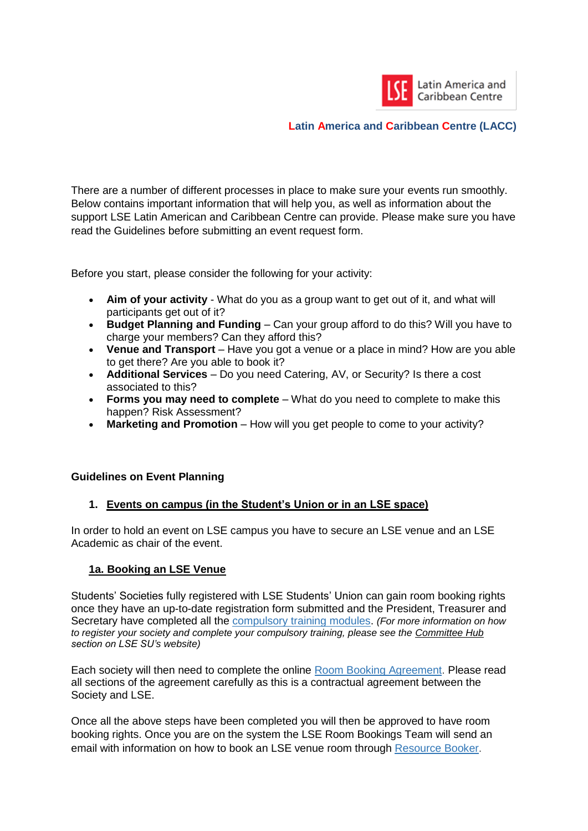

### **Latin America and Caribbean Centre (LACC)**

There are a number of different processes in place to make sure your events run smoothly. Below contains important information that will help you, as well as information about the support LSE Latin American and Caribbean Centre can provide. Please make sure you have read the Guidelines before submitting an event request form.

Before you start, please consider the following for your activity:

- **Aim of your activity** What do you as a group want to get out of it, and what will participants get out of it?
- **Budget Planning and Funding** Can your group afford to do this? Will you have to charge your members? Can they afford this?
- **Venue and Transport** Have you got a venue or a place in mind? How are you able to get there? Are you able to book it?
- **Additional Services** Do you need Catering, AV, or Security? Is there a cost associated to this?
- **Forms you may need to complete** What do you need to complete to make this happen? Risk Assessment?
- **Marketing and Promotion** How will you get people to come to your activity?

## **Guidelines on Event Planning**

## **1. Events on campus (in the Student's Union or in an LSE space)**

In order to hold an event on LSE campus you have to secure an LSE venue and an LSE Academic as chair of the event.

#### **1a. Booking an LSE Venue**

Students' Societies fully registered with LSE Students' Union can gain room booking rights once they have an up-to-date registration form submitted and the President, Treasurer and Secretary have completed all the [compulsory training modules.](https://docs.google.com/forms/d/e/1FAIpQLSfZnL-sANZOtlC9E1qJpYZzkh0JAyJYQiCP-CTa9tDTQl0YTQ/viewform) *(For more information on how to register your society and complete your compulsory training, please see the [Committee Hub](https://www.lsesu.com/skill-up/committee-hub/) section on LSE SU's website)*

Each society will then need to complete the online [Room Booking Agreement.](http://www.lse.ac.uk/intranet/LSEServices/communications/eventsOffice/Room-Booking/SUSocieties/SU%20Society%20Room%20Booking%20Agreement.aspx) Please read all sections of the agreement carefully as this is a contractual agreement between the Society and LSE.

Once all the above steps have been completed you will then be approved to have room booking rights. Once you are on the system the LSE Room Bookings Team will send an email with information on how to book an LSE venue room through [Resource Booker.](https://mybookings.lse.ac.uk/)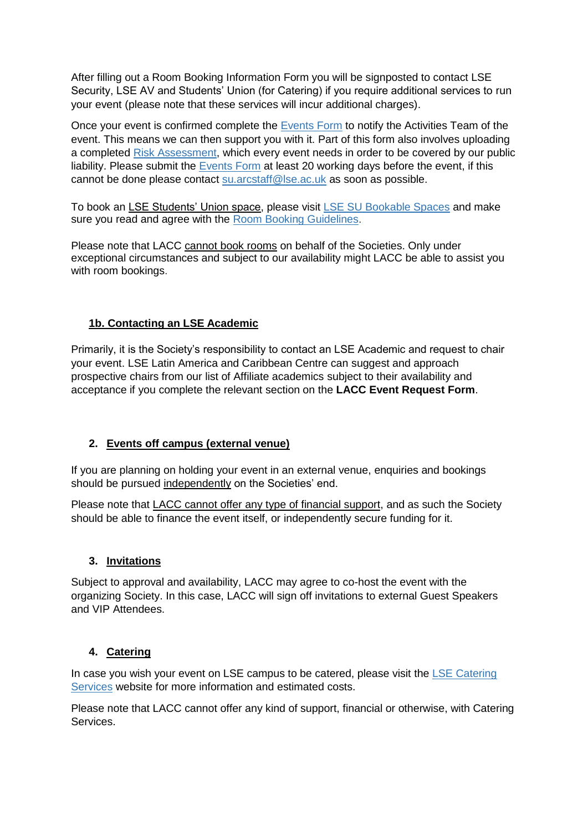After filling out a Room Booking Information Form you will be signposted to contact LSE Security, LSE AV and Students' Union (for Catering) if you require additional services to run your event (please note that these services will incur additional charges).

Once your event is confirmed complete the [Events Form](https://podio.com/webforms/16640803/1118935) to notify the Activities Team of the event. This means we can then support you with it. Part of this form also involves uploading a completed [Risk Assessment,](http://bit.ly/2cVxoIA) which every event needs in order to be covered by our public liability. Please submit the [Events Form](https://podio.com/webforms/16640803/1118935) at least 20 working days before the event, if this cannot be done please contact [su.arcstaff@lse.ac.uk](mailto:su.arcstaff@lse.ac.uk) as soon as possible.

To book an LSE Students' Union space, please visit [LSE SU Bookable Spaces](https://www.lsesu.com/bookable-spaces/lsesu-spaces/) and make sure you read and agree with the [Room Booking Guidelines.](https://www.lsesu.com/bookable-spaces/guidelines/)

Please note that LACC cannot book rooms on behalf of the Societies. Only under exceptional circumstances and subject to our availability might LACC be able to assist you with room bookings.

## **1b. Contacting an LSE Academic**

Primarily, it is the Society's responsibility to contact an LSE Academic and request to chair your event. LSE Latin America and Caribbean Centre can suggest and approach prospective chairs from our list of Affiliate academics subject to their availability and acceptance if you complete the relevant section on the **LACC Event Request Form**.

#### **2. Events off campus (external venue)**

If you are planning on holding your event in an external venue, enquiries and bookings should be pursued independently on the Societies' end.

Please note that LACC cannot offer any type of financial support, and as such the Society should be able to finance the event itself, or independently secure funding for it.

## **3. Invitations**

Subject to approval and availability, LACC may agree to co-host the event with the organizing Society. In this case, LACC will sign off invitations to external Guest Speakers and VIP Attendees.

#### **4. Catering**

In case you wish your event on LSE campus to be catered, please visit the [LSE Catering](http://www.lse.ac.uk/intranet/LSEServices/cateringServices/Home.aspx)  [Services](http://www.lse.ac.uk/intranet/LSEServices/cateringServices/Home.aspx) website for more information and estimated costs.

Please note that LACC cannot offer any kind of support, financial or otherwise, with Catering Services.